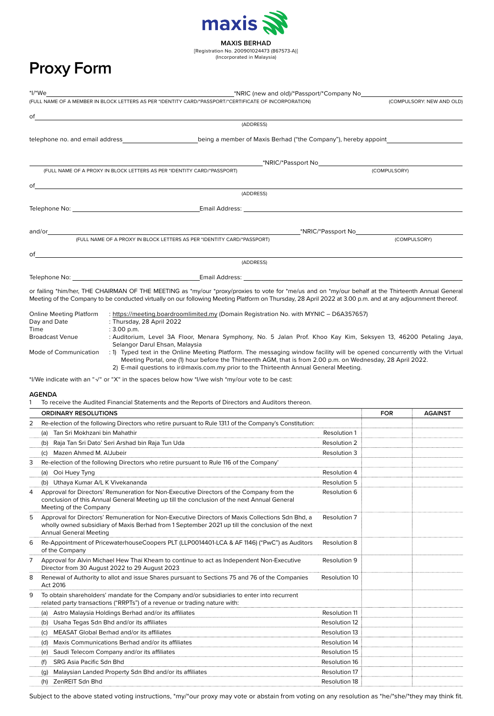

[Registration No. 200901024473 (867573-A)] (Incorporated in Malaysia)

# **Proxy Form**

|    | (FULL NAME OF A MEMBER IN BLOCK LETTERS AS PER *IDENTITY CARD/*PASSPORT/*CERTIFICATE OF INCORPORATION)                                                                                                                                                                                                                   | (COMPULSORY: NEW AND OLD) |  |  |  |
|----|--------------------------------------------------------------------------------------------------------------------------------------------------------------------------------------------------------------------------------------------------------------------------------------------------------------------------|---------------------------|--|--|--|
|    |                                                                                                                                                                                                                                                                                                                          |                           |  |  |  |
|    | (ADDRESS)                                                                                                                                                                                                                                                                                                                |                           |  |  |  |
|    |                                                                                                                                                                                                                                                                                                                          |                           |  |  |  |
|    |                                                                                                                                                                                                                                                                                                                          |                           |  |  |  |
|    | (FULL NAME OF A PROXY IN BLOCK LETTERS AS PER *IDENTITY CARD/*PASSPORT)                                                                                                                                                                                                                                                  | (COMPULSORY)              |  |  |  |
| of | <u> 1989 - Johann John Stein, markin film yn y brening yn y brening yn y brening yn y brening yn y brening yn y b</u>                                                                                                                                                                                                    |                           |  |  |  |
|    | (ADDRESS)                                                                                                                                                                                                                                                                                                                |                           |  |  |  |
|    |                                                                                                                                                                                                                                                                                                                          |                           |  |  |  |
|    |                                                                                                                                                                                                                                                                                                                          |                           |  |  |  |
|    | (FULL NAME OF A PROXY IN BLOCK LETTERS AS PER *IDENTITY CARD/*PASSPORT)                                                                                                                                                                                                                                                  | (COMPULSORY)              |  |  |  |
|    | $of$ $\overline{\phantom{a}}$                                                                                                                                                                                                                                                                                            |                           |  |  |  |
|    | (ADDRESS)                                                                                                                                                                                                                                                                                                                |                           |  |  |  |
|    |                                                                                                                                                                                                                                                                                                                          |                           |  |  |  |
|    | $\mathcal{L}^{(1)}$ with TUE OLARMAN OF TUE MEETING $\mathcal{L}^{(1)}$ , $\mathcal{L}^{(2)}$ , $\mathcal{L}^{(3)}$ , $\mathcal{L}^{(4)}$ , $\mathcal{L}^{(5)}$ , $\mathcal{L}^{(6)}$ , $\mathcal{L}^{(7)}$ , $\mathcal{L}^{(8)}$ , $\mathcal{L}^{(9)}$ , $\mathcal{L}^{(10)}$ , $\mathcal{L}^{(11)}$ , $\mathcal{L}^{($ |                           |  |  |  |

or failing \*him/her, THE CHAIRMAN OF THE MEETING as \*my/our \*proxy/proxies to vote for \*me/us and on \*my/our behalf at the Thirteenth Annual General Meeting of the Company to be conducted virtually on our following Meeting Platform on Thursday, 28 April 2022 at 3.00 p.m. and at any adjournment thereof.

| Online Meeting Platform | : https://meeting.boardroomlimited.my (Domain Registration No. with MYNIC – D6A357657)                                                                                                                                                                                                                                              |  |  |
|-------------------------|-------------------------------------------------------------------------------------------------------------------------------------------------------------------------------------------------------------------------------------------------------------------------------------------------------------------------------------|--|--|
| Day and Date            | : Thursday, 28 April 2022                                                                                                                                                                                                                                                                                                           |  |  |
| Time                    | $: 3.00$ p.m.                                                                                                                                                                                                                                                                                                                       |  |  |
| <b>Broadcast Venue</b>  | : Auditorium, Level 3A Floor, Menara Symphony, No. 5 Jalan Prof. Khoo Kay Kim, Seksyen 13, 46200 Petaling Jaya,<br>Selangor Darul Ehsan, Malaysia                                                                                                                                                                                   |  |  |
| Mode of Communication   | : 1) Typed text in the Online Meeting Platform. The messaging window facility will be opened concurrently with the Virtual<br>Meeting Portal, one (1) hour before the Thirteenth AGM, that is from 2.00 p.m. on Wednesday, 28 April 2022.<br>2) E-mail questions to ir@maxis.com.my prior to the Thirteenth Annual General Meeting. |  |  |

\*I/We indicate with an "√" or "X" in the spaces below how \*I/we wish \*my/our vote to be cast:

### **AGENDA**

1 To receive the Audited Financial Statements and the Reports of Directors and Auditors thereon.

|   | <b>ORDINARY RESOLUTIONS</b>                                                                                                                                                                                                           | <b>FOR</b>          | <b>AGAINST</b> |  |
|---|---------------------------------------------------------------------------------------------------------------------------------------------------------------------------------------------------------------------------------------|---------------------|----------------|--|
| 2 | Re-election of the following Directors who retire pursuant to Rule 131.1 of the Company's Constitution:                                                                                                                               |                     |                |  |
|   | Tan Sri Mokhzani bin Mahathir<br>(a)                                                                                                                                                                                                  | <b>Resolution 1</b> |                |  |
|   | Raja Tan Sri Dato' Seri Arshad bin Raja Tun Uda<br>(b)                                                                                                                                                                                | <b>Resolution 2</b> |                |  |
|   | Mazen Ahmed M. AlJubeir<br>(C)                                                                                                                                                                                                        | Resolution 3        |                |  |
| 3 | Re-election of the following Directors who retire pursuant to Rule 116 of the Company'                                                                                                                                                |                     |                |  |
|   | (a) Ooi Huey Tyng                                                                                                                                                                                                                     | Resolution 4        |                |  |
|   | Uthaya Kumar A/L K Vivekananda<br>(b)                                                                                                                                                                                                 | <b>Resolution 5</b> |                |  |
| 4 | Approval for Directors' Remuneration for Non-Executive Directors of the Company from the<br>conclusion of this Annual General Meeting up till the conclusion of the next Annual General<br>Meeting of the Company                     | Resolution 6        |                |  |
| 5 | Approval for Directors' Remuneration for Non-Executive Directors of Maxis Collections Sdn Bhd, a<br>wholly owned subsidiary of Maxis Berhad from 1 September 2021 up till the conclusion of the next<br><b>Annual General Meeting</b> | Resolution 7        |                |  |
| 6 | Re-Appointment of PricewaterhouseCoopers PLT (LLP0014401-LCA & AF 1146) ("PwC") as Auditors<br>of the Company                                                                                                                         | <b>Resolution 8</b> |                |  |
| 7 | Approval for Alvin Michael Hew Thai Kheam to continue to act as Independent Non-Executive<br>Director from 30 August 2022 to 29 August 2023                                                                                           | <b>Resolution 9</b> |                |  |
| 8 | Renewal of Authority to allot and issue Shares pursuant to Sections 75 and 76 of the Companies<br>Resolution 10<br>Act 2016                                                                                                           |                     |                |  |
| 9 | To obtain shareholders' mandate for the Company and/or subsidiaries to enter into recurrent<br>related party transactions ("RRPTs") of a revenue or trading nature with:                                                              |                     |                |  |
|   | (a) Astro Malaysia Holdings Berhad and/or its affiliates                                                                                                                                                                              | Resolution 11       |                |  |
|   | Usaha Tegas Sdn Bhd and/or its affiliates<br>(b)                                                                                                                                                                                      | Resolution 12       |                |  |
|   | MEASAT Global Berhad and/or its affiliates<br>(c)                                                                                                                                                                                     | Resolution 13       |                |  |
|   | Maxis Communications Berhad and/or its affiliates<br>(d)                                                                                                                                                                              | Resolution 14       |                |  |
|   | Saudi Telecom Company and/or its affiliates<br>(e)                                                                                                                                                                                    | Resolution 15       |                |  |
|   | SRG Asia Pacific Sdn Bhd<br>(f)                                                                                                                                                                                                       | Resolution 16       |                |  |
|   | Malaysian Landed Property Sdn Bhd and/or its affiliates<br>(q)                                                                                                                                                                        | Resolution 17       |                |  |
|   | ZenREIT Sdn Bhd<br>(h)                                                                                                                                                                                                                | Resolution 18       |                |  |

Subject to the above stated voting instructions, \*my/\*our proxy may vote or abstain from voting on any resolution as \*he/\*she/\*they may think fit.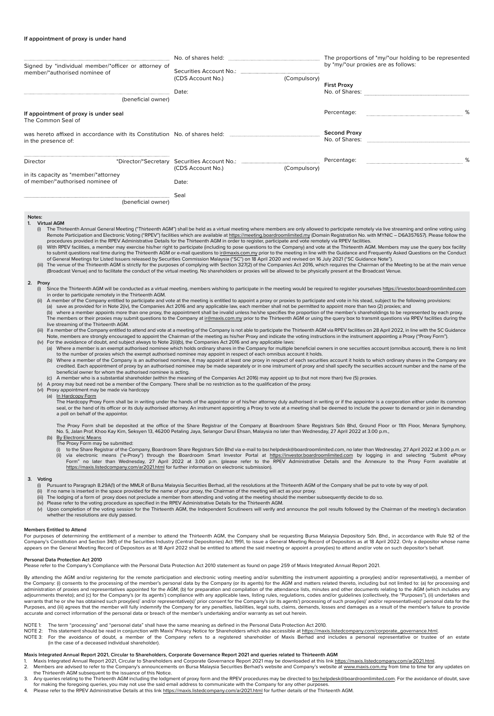#### **If appointment of proxy is under hand**

| Signed by *individual member/*officer or attorney of                     |                                                                                                                                                                                                                                                                                                                                                                                                                                                                                                                                                                                                                                                                         |                                                                                                                                                                                                                                                                                                                                                                                                                                                                                                                                                                                                                                                                                                                                                                                                                                                                                                                                                                                                                                                                                                                                                                                                                                                                                                                                                                                                                                                                                                                                                                                                                                                                                                                                                                                                                                                                                                                                                                                                                                                                                                                                                                                                                                                                                                                                                                                                                                                                                                                                                                                                                                                                                                                                                                                                                                                                                                                                                                                                                                                                                                                                                                                                                                                                                                                                                                                                                                                                                                                                                                                                                                                                                                                                                                                                                                                                                                                                                                                                                                                                                                                                                                                                                                                                                                                                                                                                                                                                                                                                                                                                                                                                                                                                                                                                                                                                                                                                                                                                                                                                                                                                                                                                                                                                                                                                                                                                                                                                     |              | The proportions of *my/*our holding to be represented<br>by *my/*our proxies are as follows:                                                                                                                                                                                                                                                                                                          |  |  |
|--------------------------------------------------------------------------|-------------------------------------------------------------------------------------------------------------------------------------------------------------------------------------------------------------------------------------------------------------------------------------------------------------------------------------------------------------------------------------------------------------------------------------------------------------------------------------------------------------------------------------------------------------------------------------------------------------------------------------------------------------------------|---------------------------------------------------------------------------------------------------------------------------------------------------------------------------------------------------------------------------------------------------------------------------------------------------------------------------------------------------------------------------------------------------------------------------------------------------------------------------------------------------------------------------------------------------------------------------------------------------------------------------------------------------------------------------------------------------------------------------------------------------------------------------------------------------------------------------------------------------------------------------------------------------------------------------------------------------------------------------------------------------------------------------------------------------------------------------------------------------------------------------------------------------------------------------------------------------------------------------------------------------------------------------------------------------------------------------------------------------------------------------------------------------------------------------------------------------------------------------------------------------------------------------------------------------------------------------------------------------------------------------------------------------------------------------------------------------------------------------------------------------------------------------------------------------------------------------------------------------------------------------------------------------------------------------------------------------------------------------------------------------------------------------------------------------------------------------------------------------------------------------------------------------------------------------------------------------------------------------------------------------------------------------------------------------------------------------------------------------------------------------------------------------------------------------------------------------------------------------------------------------------------------------------------------------------------------------------------------------------------------------------------------------------------------------------------------------------------------------------------------------------------------------------------------------------------------------------------------------------------------------------------------------------------------------------------------------------------------------------------------------------------------------------------------------------------------------------------------------------------------------------------------------------------------------------------------------------------------------------------------------------------------------------------------------------------------------------------------------------------------------------------------------------------------------------------------------------------------------------------------------------------------------------------------------------------------------------------------------------------------------------------------------------------------------------------------------------------------------------------------------------------------------------------------------------------------------------------------------------------------------------------------------------------------------------------------------------------------------------------------------------------------------------------------------------------------------------------------------------------------------------------------------------------------------------------------------------------------------------------------------------------------------------------------------------------------------------------------------------------------------------------------------------------------------------------------------------------------------------------------------------------------------------------------------------------------------------------------------------------------------------------------------------------------------------------------------------------------------------------------------------------------------------------------------------------------------------------------------------------------------------------------------------------------------------------------------------------------------------------------------------------------------------------------------------------------------------------------------------------------------------------------------------------------------------------------------------------------------------------------------------------------------------------------------------------------------------------------------------------------------------------------------------------------------------------------------------------------|--------------|-------------------------------------------------------------------------------------------------------------------------------------------------------------------------------------------------------------------------------------------------------------------------------------------------------------------------------------------------------------------------------------------------------|--|--|
|                                                                          | member/*authorised nominee of                                                                                                                                                                                                                                                                                                                                                                                                                                                                                                                                                                                                                                           | (CDS Account No.)                                                                                                                                                                                                                                                                                                                                                                                                                                                                                                                                                                                                                                                                                                                                                                                                                                                                                                                                                                                                                                                                                                                                                                                                                                                                                                                                                                                                                                                                                                                                                                                                                                                                                                                                                                                                                                                                                                                                                                                                                                                                                                                                                                                                                                                                                                                                                                                                                                                                                                                                                                                                                                                                                                                                                                                                                                                                                                                                                                                                                                                                                                                                                                                                                                                                                                                                                                                                                                                                                                                                                                                                                                                                                                                                                                                                                                                                                                                                                                                                                                                                                                                                                                                                                                                                                                                                                                                                                                                                                                                                                                                                                                                                                                                                                                                                                                                                                                                                                                                                                                                                                                                                                                                                                                                                                                                                                                                                                                                   | (Compulsory) | <b>First Proxy</b>                                                                                                                                                                                                                                                                                                                                                                                    |  |  |
|                                                                          | (beneficial owner)                                                                                                                                                                                                                                                                                                                                                                                                                                                                                                                                                                                                                                                      | Date:                                                                                                                                                                                                                                                                                                                                                                                                                                                                                                                                                                                                                                                                                                                                                                                                                                                                                                                                                                                                                                                                                                                                                                                                                                                                                                                                                                                                                                                                                                                                                                                                                                                                                                                                                                                                                                                                                                                                                                                                                                                                                                                                                                                                                                                                                                                                                                                                                                                                                                                                                                                                                                                                                                                                                                                                                                                                                                                                                                                                                                                                                                                                                                                                                                                                                                                                                                                                                                                                                                                                                                                                                                                                                                                                                                                                                                                                                                                                                                                                                                                                                                                                                                                                                                                                                                                                                                                                                                                                                                                                                                                                                                                                                                                                                                                                                                                                                                                                                                                                                                                                                                                                                                                                                                                                                                                                                                                                                                                               |              |                                                                                                                                                                                                                                                                                                                                                                                                       |  |  |
|                                                                          | If appointment of proxy is under seal<br>The Common Seal of                                                                                                                                                                                                                                                                                                                                                                                                                                                                                                                                                                                                             |                                                                                                                                                                                                                                                                                                                                                                                                                                                                                                                                                                                                                                                                                                                                                                                                                                                                                                                                                                                                                                                                                                                                                                                                                                                                                                                                                                                                                                                                                                                                                                                                                                                                                                                                                                                                                                                                                                                                                                                                                                                                                                                                                                                                                                                                                                                                                                                                                                                                                                                                                                                                                                                                                                                                                                                                                                                                                                                                                                                                                                                                                                                                                                                                                                                                                                                                                                                                                                                                                                                                                                                                                                                                                                                                                                                                                                                                                                                                                                                                                                                                                                                                                                                                                                                                                                                                                                                                                                                                                                                                                                                                                                                                                                                                                                                                                                                                                                                                                                                                                                                                                                                                                                                                                                                                                                                                                                                                                                                                     |              | Percentage:                                                                                                                                                                                                                                                                                                                                                                                           |  |  |
| in the presence of:                                                      |                                                                                                                                                                                                                                                                                                                                                                                                                                                                                                                                                                                                                                                                         |                                                                                                                                                                                                                                                                                                                                                                                                                                                                                                                                                                                                                                                                                                                                                                                                                                                                                                                                                                                                                                                                                                                                                                                                                                                                                                                                                                                                                                                                                                                                                                                                                                                                                                                                                                                                                                                                                                                                                                                                                                                                                                                                                                                                                                                                                                                                                                                                                                                                                                                                                                                                                                                                                                                                                                                                                                                                                                                                                                                                                                                                                                                                                                                                                                                                                                                                                                                                                                                                                                                                                                                                                                                                                                                                                                                                                                                                                                                                                                                                                                                                                                                                                                                                                                                                                                                                                                                                                                                                                                                                                                                                                                                                                                                                                                                                                                                                                                                                                                                                                                                                                                                                                                                                                                                                                                                                                                                                                                                                     |              | <b>Second Proxy</b>                                                                                                                                                                                                                                                                                                                                                                                   |  |  |
| Director                                                                 |                                                                                                                                                                                                                                                                                                                                                                                                                                                                                                                                                                                                                                                                         | (CDS Account No.)                                                                                                                                                                                                                                                                                                                                                                                                                                                                                                                                                                                                                                                                                                                                                                                                                                                                                                                                                                                                                                                                                                                                                                                                                                                                                                                                                                                                                                                                                                                                                                                                                                                                                                                                                                                                                                                                                                                                                                                                                                                                                                                                                                                                                                                                                                                                                                                                                                                                                                                                                                                                                                                                                                                                                                                                                                                                                                                                                                                                                                                                                                                                                                                                                                                                                                                                                                                                                                                                                                                                                                                                                                                                                                                                                                                                                                                                                                                                                                                                                                                                                                                                                                                                                                                                                                                                                                                                                                                                                                                                                                                                                                                                                                                                                                                                                                                                                                                                                                                                                                                                                                                                                                                                                                                                                                                                                                                                                                                   | (Compulsory) | %<br>Percentage:                                                                                                                                                                                                                                                                                                                                                                                      |  |  |
| in its capacity as *member/*attorney<br>of member/*authorised nominee of |                                                                                                                                                                                                                                                                                                                                                                                                                                                                                                                                                                                                                                                                         | Date:                                                                                                                                                                                                                                                                                                                                                                                                                                                                                                                                                                                                                                                                                                                                                                                                                                                                                                                                                                                                                                                                                                                                                                                                                                                                                                                                                                                                                                                                                                                                                                                                                                                                                                                                                                                                                                                                                                                                                                                                                                                                                                                                                                                                                                                                                                                                                                                                                                                                                                                                                                                                                                                                                                                                                                                                                                                                                                                                                                                                                                                                                                                                                                                                                                                                                                                                                                                                                                                                                                                                                                                                                                                                                                                                                                                                                                                                                                                                                                                                                                                                                                                                                                                                                                                                                                                                                                                                                                                                                                                                                                                                                                                                                                                                                                                                                                                                                                                                                                                                                                                                                                                                                                                                                                                                                                                                                                                                                                                               |              |                                                                                                                                                                                                                                                                                                                                                                                                       |  |  |
|                                                                          | (beneficial owner)                                                                                                                                                                                                                                                                                                                                                                                                                                                                                                                                                                                                                                                      | Seal                                                                                                                                                                                                                                                                                                                                                                                                                                                                                                                                                                                                                                                                                                                                                                                                                                                                                                                                                                                                                                                                                                                                                                                                                                                                                                                                                                                                                                                                                                                                                                                                                                                                                                                                                                                                                                                                                                                                                                                                                                                                                                                                                                                                                                                                                                                                                                                                                                                                                                                                                                                                                                                                                                                                                                                                                                                                                                                                                                                                                                                                                                                                                                                                                                                                                                                                                                                                                                                                                                                                                                                                                                                                                                                                                                                                                                                                                                                                                                                                                                                                                                                                                                                                                                                                                                                                                                                                                                                                                                                                                                                                                                                                                                                                                                                                                                                                                                                                                                                                                                                                                                                                                                                                                                                                                                                                                                                                                                                                |              |                                                                                                                                                                                                                                                                                                                                                                                                       |  |  |
| 2. Proxy                                                                 | (ii)<br>(iii)<br>in order to participate remotely in the Thirteenth AGM.<br>live streaming of the Thirteenth AGM.<br>(vi) Proxy appointment may be made via hardcopy<br>(a) In Hardcopy Form<br>a poll on behalf of the appointor.<br>(b) By Electronic Means<br>The Proxy Form may be submitted:                                                                                                                                                                                                                                                                                                                                                                       | 1. Virtual AGM<br>(i) The Thirteenth Annual General Meeting ("Thirteenth AGM") shall be held as a virtual meeting where members are only allowed to participate remotely via live streaming and online voting using<br>Remote Participation and Electronic Voting ("RPEV") facilities which are available at https://meeting.boardroomlimited.my (Domain Registration No. with MYNIC - D6A357657). Please follow the<br>procedures provided in the RPEV Administrative Details for the Thirteenth AGM in order to register, participate and vote remotely via RPEV facilities.<br>With RPEV facilities, a member may exercise his/her right to participate (including to pose questions to the Company) and vote at the Thirteenth AGM. Members may use the query box facility<br>to submit questions real time during the Thirteenth AGM or e-mail questions to in@maxis.com.my prior to the meeting in line with the Guidance and Frequently Asked Questions on the Conduct<br>of General Meetings for Listed Issuers released by Securities Commission Malaysia ("SC") on 18 April 2020 and revised on 16 July 2021 ("SC Guidance Note").<br>The venue of the Thirteenth AGM is strictly for the purposes of complying with Section 327(2) of the Companies Act 2016, which requires the Chairman of the Meeting to be at the main venue<br>(Broadcast Venue) and to facilitate the conduct of the virtual meeting. No shareholders or proxies will be allowed to be physically present at the Broadcast Venue.<br>(i) Since the Thirteenth AGM will be conducted as a virtual meeting, members wishing to participate in the meeting would be required to register yourselves https://investor.boardroomlimited.com<br>A member of the Company entitled to participate and vote at the meeting is entitled to appoint a proxy or proxies to participate and vote in his stead, subject to the following provisions:<br>(a) save as provided for in Note 2(iv), the Companies Act 2016 and any applicable law, each member shall not be permitted to appoint more than two (2) proxies; and<br>(b) where a member appoints more than one proxy, the appointment shall be invalid unless he/she specifies the proportion of the member's shareholdings to be represented by each proxy.<br>The members or their proxies may submit questions to the Company at ir@maxis.com.my prior to the Thirteenth AGM or using the query box to transmit questions via RPEV facilities during the<br>(iii) If a member of the Company entitled to attend and vote at a meeting of the Company is not able to participate the Thirteenth AGM via RPEV facilities on 28 April 2022, in line with the SC Guidance<br>Note, members are strongly encouraged to appoint the Chairman of the meeting as his/her Proxy and indicate the voting instructions in the instrument appointing a Proxy ("Proxy Form").<br>(iv) For the avoidance of doubt, and subject always to Note 2(ii)(b), the Companies Act 2016 and any applicable laws:<br>(a) Where a member is an exempt authorised nominee which holds ordinary shares in the Company for multiple beneficial owners in one securities account (omnibus account), there is no limit<br>to the number of proxies which the exempt authorised nominee may appoint in respect of each omnibus account it holds.<br>(b) Where a member of the Company is an authorised nominee, it may appoint at least one proxy in respect of each securities account it holds to which ordinary shares in the Company are<br>credited. Each appointment of proxy by an authorised nominee may be made separately or in one instrument of proxy and shall specify the securities account number and the name of the<br>beneficial owner for whom the authorised nominee is acting.<br>(c) A member who is a substantial shareholder (within the meaning of the Companies Act 2016) may appoint up to (but not more than) five (5) proxies.<br>(v) A proxy may but need not be a member of the Company. There shall be no restriction as to the qualification of the proxy.<br>The Hardcopy Proxy Form shall be in writing under the hands of the appointor or of his/her attorney duly authorised in writing or if the appointor is a corporation either under its common<br>seal, or the hand of its officer or its duly authorised attorney. An instrument appointing a Proxy to vote at a meeting shall be deemed to include the power to demand or join in demanding<br>The Proxy Form shall be deposited at the office of the Share Registrar of the Company at Boardroom Share Registrars Sdn Bhd, Ground Floor or 11th Floor, Menara Symphony,<br>No. 5, Jalan Prof. Khoo Kay Kim, Seksyen 13, 46200 Petaling Jaya, Selangor Darul Ehsan, Malaysia no later than Wednesday, 27 April 2022 at 3.00 p.m.,<br>(i) to the Share Registrar of the Company, Boardroom Share Registrars Sdn Bhd via e-mail to bsr.helpdesk@boardroomlimited.com, no later than Wednesday, 27 April 2022 at 3.00 p.m. or<br>(ii) via electronic means ("e-Proxy") through the Boardroom Smart Investor Portal at https://investor.boardroomlimited.com by logging in and selecting "Submit eProxy<br>Form" no later than Wednesday, 27 April 2022 at 3.00 p.m. (please refer to the RPEV Administrative Details and the Annexure to the Proxy Form available at<br>https://maxis.listedcompany.com/ar2021.html for further information on electronic submission). |              |                                                                                                                                                                                                                                                                                                                                                                                                       |  |  |
|                                                                          | 3. Voting<br>(i) Pursuant to Paragraph 8.29A(1) of the MMLR of Bursa Malaysia Securities Berhad, all the resolutions at the Thirteenth AGM of the Company shall be put to vote by way of poll.<br>(ii) If no name is inserted in the space provided for the name of your proxy, the Chairman of the meeting will act as your proxy.<br>(iii) The lodging of a form of proxy does not preclude a member from attending and voting at the meeting should the member subsequently decide to do so.<br>(iv) Please refer to the voting procedure as specified in the RPEV Administrative Details for the Thirteenth AGM.<br>(v)<br>whether the resolutions are duly passed. |                                                                                                                                                                                                                                                                                                                                                                                                                                                                                                                                                                                                                                                                                                                                                                                                                                                                                                                                                                                                                                                                                                                                                                                                                                                                                                                                                                                                                                                                                                                                                                                                                                                                                                                                                                                                                                                                                                                                                                                                                                                                                                                                                                                                                                                                                                                                                                                                                                                                                                                                                                                                                                                                                                                                                                                                                                                                                                                                                                                                                                                                                                                                                                                                                                                                                                                                                                                                                                                                                                                                                                                                                                                                                                                                                                                                                                                                                                                                                                                                                                                                                                                                                                                                                                                                                                                                                                                                                                                                                                                                                                                                                                                                                                                                                                                                                                                                                                                                                                                                                                                                                                                                                                                                                                                                                                                                                                                                                                                                     |              | Upon completion of the voting session for the Thirteenth AGM, the Independent Scrutineers will verify and announce the poll results followed by the Chairman of the meeting's declaration                                                                                                                                                                                                             |  |  |
|                                                                          | <b>Members Entitled to Attend</b><br>appears on the General Meeting Record of Depositors as at 18 April 2022 shall be entitled to attend the said meeting or appoint a proxy(ies) to attend and/or vote on such depositor's behalf.                                                                                                                                                                                                                                                                                                                                                                                                                                     |                                                                                                                                                                                                                                                                                                                                                                                                                                                                                                                                                                                                                                                                                                                                                                                                                                                                                                                                                                                                                                                                                                                                                                                                                                                                                                                                                                                                                                                                                                                                                                                                                                                                                                                                                                                                                                                                                                                                                                                                                                                                                                                                                                                                                                                                                                                                                                                                                                                                                                                                                                                                                                                                                                                                                                                                                                                                                                                                                                                                                                                                                                                                                                                                                                                                                                                                                                                                                                                                                                                                                                                                                                                                                                                                                                                                                                                                                                                                                                                                                                                                                                                                                                                                                                                                                                                                                                                                                                                                                                                                                                                                                                                                                                                                                                                                                                                                                                                                                                                                                                                                                                                                                                                                                                                                                                                                                                                                                                                                     |              | For purposes of determining the entitlement of a member to attend the Thirteenth AGM, the Company shall be requesting Bursa Malaysia Depository Sdn. Bhd., in accordance with Rule 92 of the<br>Company's Constitution and Section 34(1) of the Securities Industry (Central Depositories) Act 1991, to issue a General Meeting Record of Depositors as at 18 April 2022. Only a depositor whose name |  |  |
|                                                                          | Personal Data Protection Act 2010<br>Please refer to the Company's Compliance with the Personal Data Protection Act 2010 statement as found on page 259 of Maxis Integrated Annual Report 2021.                                                                                                                                                                                                                                                                                                                                                                                                                                                                         |                                                                                                                                                                                                                                                                                                                                                                                                                                                                                                                                                                                                                                                                                                                                                                                                                                                                                                                                                                                                                                                                                                                                                                                                                                                                                                                                                                                                                                                                                                                                                                                                                                                                                                                                                                                                                                                                                                                                                                                                                                                                                                                                                                                                                                                                                                                                                                                                                                                                                                                                                                                                                                                                                                                                                                                                                                                                                                                                                                                                                                                                                                                                                                                                                                                                                                                                                                                                                                                                                                                                                                                                                                                                                                                                                                                                                                                                                                                                                                                                                                                                                                                                                                                                                                                                                                                                                                                                                                                                                                                                                                                                                                                                                                                                                                                                                                                                                                                                                                                                                                                                                                                                                                                                                                                                                                                                                                                                                                                                     |              |                                                                                                                                                                                                                                                                                                                                                                                                       |  |  |

Please refer to the Company's Compliance with the Personal Data Protection Act 2010 statement as found on page 259 of Maxis Integrated Annual Report 2021.

By attending the AGM and/or registering for the remote participation and electronic voting meeting and/or submitting the instrument appointing a proxy(ies) and/or representative(s), a member of the Company: (i) consents to the processing of the member's personal data by the Company (or its agents) for the AGM and matters related thereto, including but not limited to: (a) for processing and<br>adininistration of prox warrants that he or she has obtained such proxy(ies)' and/or representative(s)' prior consent for the Company's (or its agents') processing of such proxy(ies)' and/or representative(s)' personal data for the warrants that Purposes, and (iii) agrees that the member will fully indemnify the Company for any penalties, liabilities, legal suits, claims, demands, losses and damages as a result of the member's failure to provide<br>accurate and corre

NOTE 1: The term "processing" and "personal data" shall have the same meaning as defined in the Personal Data Protection Act 2010.

NOTE 2: This statement should be read in conjunction with Maxis' Privacy Notice for Shareholders which also accessible at <u>https://maxis.listedcompany.com/corporate\_qovernance.html</u>.<br>NOTE 3: For the avoidance of doubt, a m (in the case of a deceased individual shareholder).

### **Maxis Integrated Annual Report 2021, Circular to Shareholders, Corporate Governance Report 2021 and queries related to Thirteenth AGM**

1. Maxis Integrated Annual Report 2021, Circular to Shareholders and Corporate Governance Report 2021 may be downloaded at this link https://maxis.listedcompany.com/ar2021.html.<br>2. Members are advised to refer to the Compa

- 2. Members are advised to refer to the Company's announcements on Bursa Malaysia Securities Berhad's website and Company's website at <u>www.maxis.com.my</u> from time to time for any updates on<br>the Thirteenth AGM subsequent to
- 
- for making the foregoing queries, you may not use the said email address to communicate with the Company for any other purposes.<br>4. Please refer to the RPEV Administrative Details at this link <u>https://maxis.listedcompany.</u>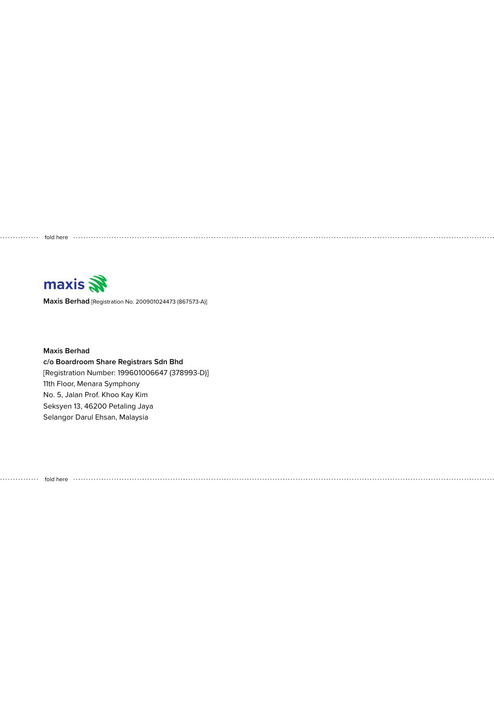maxis

**Maxis Berhad** [Registration No. 200901024473 (867573-A)]

fold here

**Maxis Berhad c/o Boardroom Share Registrars Sdn Bhd** [Registration Number: 199601006647 (378993-D)] 11th Floor, Menara Symphony No. 5, Jalan Prof. Khoo Kay Kim Seksyen 13, 46200 Petaling Jaya Selangor Darul Ehsan, Malaysia

fold here . . . . . . . . . . . . . . . . . . .